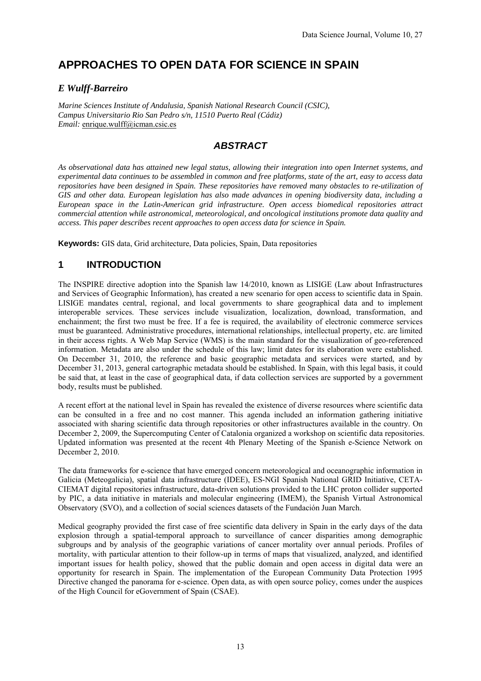# **APPROACHES TO OPEN DATA FOR SCIENCE IN SPAIN**

#### *E Wulff-Barreiro*

*Marine Sciences Institute of Andalusia, Spanish National Research Council (CSIC), Campus Universitario Rio San Pedro s/n, 11510 Puerto Real (Cádiz) Email:* enrique.wulff@icman.csic.es

## *ABSTRACT*

*As observational data has attained new legal status, allowing their integration into open Internet systems, and experimental data continues to be assembled in common and free platforms, state of the art, easy to access data repositories have been designed in Spain. These repositories have removed many obstacles to re-utilization of GIS and other data. European legislation has also made advances in opening biodiversity data, including a European space in the Latin-American grid infrastructure. Open access biomedical repositories attract commercial attention while astronomical, meteorological, and oncological institutions promote data quality and access. This paper describes recent approaches to open access data for science in Spain.*

**Keywords:** GIS data, Grid architecture, Data policies, Spain, Data repositories

# **1 INTRODUCTION**

The INSPIRE directive adoption into the Spanish law 14/2010, known as LISIGE (Law about Infrastructures and Services of Geographic Information), has created a new scenario for open access to scientific data in Spain. LISIGE mandates central, regional, and local governments to share geographical data and to implement interoperable services. These services include visualization, localization, download, transformation, and enchainment; the first two must be free. If a fee is required, the availability of electronic commerce services must be guaranteed. Administrative procedures, international relationships, intellectual property, etc. are limited in their access rights. A Web Map Service (WMS) is the main standard for the visualization of geo-referenced information. Metadata are also under the schedule of this law; limit dates for its elaboration were established. On December 31, 2010, the reference and basic geographic metadata and services were started, and by December 31, 2013, general cartographic metadata should be established. In Spain, with this legal basis, it could be said that, at least in the case of geographical data, if data collection services are supported by a government body, results must be published.

A recent effort at the national level in Spain has revealed the existence of diverse resources where scientific data can be consulted in a free and no cost manner. This agenda included an information gathering initiative associated with sharing scientific data through repositories or other infrastructures available in the country. On December 2, 2009, the Supercomputing Center of Catalonia organized a workshop on scientific data repositories. Updated information was presented at the recent 4th Plenary Meeting of the Spanish e-Science Network on December 2, 2010.

The data frameworks for e-science that have emerged concern meteorological and oceanographic information in Galicia (Meteogalicia), spatial data infrastructure (IDEE), ES-NGI Spanish National GRID Initiative, CETA-CIEMAT digital repositories infrastructure, data-driven solutions provided to the LHC proton collider supported by PIC, a data initiative in materials and molecular engineering (IMEM), the Spanish Virtual Astronomical Observatory (SVO), and a collection of social sciences datasets of the Fundación Juan March.

Medical geography provided the first case of free scientific data delivery in Spain in the early days of the data explosion through a spatial-temporal approach to surveillance of cancer disparities among demographic subgroups and by analysis of the geographic variations of cancer mortality over annual periods. Profiles of mortality, with particular attention to their follow-up in terms of maps that visualized, analyzed, and identified important issues for health policy, showed that the public domain and open access in digital data were an opportunity for research in Spain. The implementation of the European Community Data Protection 1995 Directive changed the panorama for e-science. Open data, as with open source policy, comes under the auspices of the High Council for eGovernment of Spain (CSAE).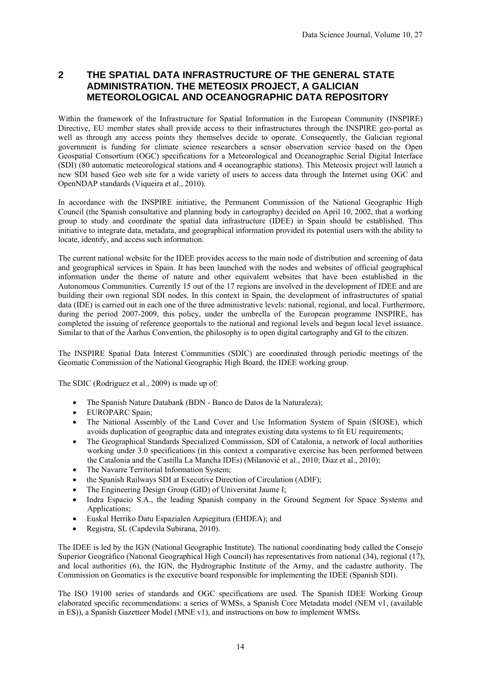### **2 THE SPATIAL DATA INFRASTRUCTURE OF THE GENERAL STATE ADMINISTRATION. THE METEOSIX PROJECT, A GALICIAN METEOROLOGICAL AND OCEANOGRAPHIC DATA REPOSITORY**

Within the framework of the Infrastructure for Spatial Information in the European Community (INSPIRE) Directive, EU member states shall provide access to their infrastructures through the INSPIRE geo-portal as well as through any access points they themselves decide to operate. Consequently, the Galician regional government is funding for climate science researchers a sensor observation service based on the Open Geospatial Consortium (OGC) specifications for a Meteorological and Oceanographic Serial Digital Interface (SDI) (80 automatic meteorological stations and 4 oceanographic stations). This Meteosix project will launch a new SDI based Geo web site for a wide variety of users to access data through the Internet using OGC and OpenNDAP standards (Viqueira et al., 2010).

In accordance with the INSPIRE initiative, the Permanent Commission of the National Geographic High Council (the Spanish consultative and planning body in cartography) decided on April 10, 2002, that a working group to study and coordinate the spatial data infrastructure (IDEE) in Spain should be established. This initiative to integrate data, metadata, and geographical information provided its potential users with the ability to locate, identify, and access such information.

The current national website for the IDEE provides access to the main node of distribution and screening of data and geographical services in Spain. It has been launched with the nodes and websites of official geographical information under the theme of nature and other equivalent websites that have been established in the Autonomous Communities. Currently 15 out of the 17 regions are involved in the development of IDEE and are building their own regional SDI nodes. In this context in Spain, the development of infrastructures of spatial data (IDE) is carried out in each one of the three administrative levels: national, regional, and local. Furthermore, during the period 2007-2009, this policy, under the umbrella of the European programme INSPIRE, has completed the issuing of reference geoportals to the national and regional levels and begun local level issuance. Similar to that of the Åarhus Convention, the philosophy is to open digital cartography and GI to the citizen.

The INSPIRE Spatial Data Interest Communities (SDIC) are coordinated through periodic meetings of the Geomatic Commission of the National Geographic High Board, the IDEE working group.

The SDIC (Rodriguez et al., 2009) is made up of:

- The Spanish Nature Databank (BDN Banco de Datos de la Naturaleza);
- EUROPARC Spain;
- The National Assembly of the Land Cover and Use Information System of Spain (SIOSE), which avoids duplication of geographic data and integrates existing data systems to fit EU requirements;
- The Geographical Standards Specialized Commission, SDI of Catalonia, a network of local authorities working under 3.0 specifications (in this context a comparative exercise has been performed between the Catalonia and the Castilla La Mancha IDEs) (Milanović et al., 2010; Diaz et al., 2010);
- The Navarre Territorial Information System;
- the Spanish Railways SDI at Executive Direction of Circulation (ADIF);
- The Engineering Design Group (GID) of Universitat Jaume I;
- Indra Espacio S.A., the leading Spanish company in the Ground Segment for Space Systems and Applications;
- Euskal Herriko Datu Espazialen Azpiegitura (EHDEA); and
- Registra, SL (Capdevila Subirana, 2010).

The IDEE is led by the IGN (National Geographic Institute). The national coordinating body called the Consejo Superior Geográfico (National Geographical High Council) has representatives from national (34), regional (17), and local authorities (6), the IGN, the Hydrographic Institute of the Army, and the cadastre authority. The Commission on Geomatics is the executive board responsible for implementing the IDEE (Spanish SDI).

The ISO 19100 series of standards and OGC specifications are used. The Spanish IDEE Working Group elaborated specific recommendations: a series of WMSs, a Spanish Core Metadata model (NEM v1, (available in ES)), a Spanish Gazetteer Model (MNE v1), and instructions on how to implement WMSs.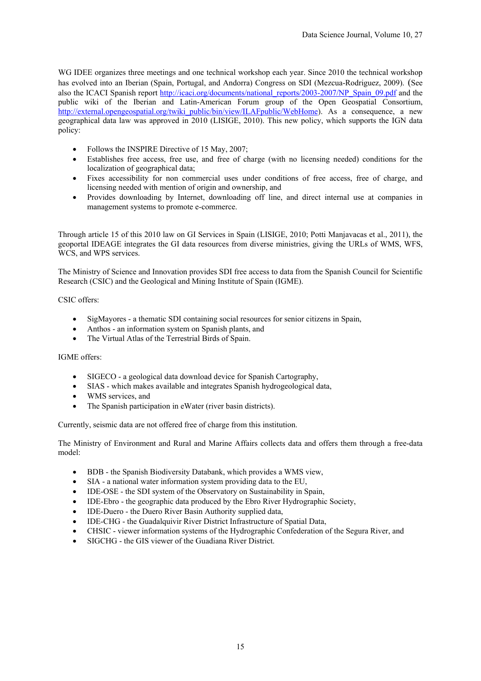WG IDEE organizes three meetings and one technical workshop each year. Since 2010 the technical workshop has evolved into an Iberian (Spain, Portugal, and Andorra) Congress on SDI (Mezcua-Rodriguez, 2009). (See also the ICACI Spanish report http://icaci.org/documents/national\_reports/2003-2007/NP\_Spain\_09.pdf and the public wiki of the Iberian and Latin-American Forum group of the Open Geospatial Consortium, http://external.opengeospatial.org/twiki\_public/bin/view/ILAFpublic/WebHome). As a consequence, a new geographical data law was approved in 2010 (LISIGE, 2010). This new policy, which supports the IGN data policy:

- Follows the INSPIRE Directive of 15 May, 2007:
- Establishes free access, free use, and free of charge (with no licensing needed) conditions for the localization of geographical data;
- Fixes accessibility for non commercial uses under conditions of free access, free of charge, and licensing needed with mention of origin and ownership, and
- Provides downloading by Internet, downloading off line, and direct internal use at companies in management systems to promote e-commerce.

Through article 15 of this 2010 law on GI Services in Spain (LISIGE, 2010; Potti Manjavacas et al., 2011), the geoportal IDEAGE integrates the GI data resources from diverse ministries, giving the URLs of WMS, WFS, WCS, and WPS services.

The Ministry of Science and Innovation provides SDI free access to data from the Spanish Council for Scientific Research (CSIC) and the Geological and Mining Institute of Spain (IGME).

#### CSIC offers:

- SigMayores a thematic SDI containing social resources for senior citizens in Spain,
- Anthos an information system on Spanish plants, and
- The Virtual Atlas of the Terrestrial Birds of Spain.

#### IGME offers:

- SIGECO a geological data download device for Spanish Cartography,
- SIAS which makes available and integrates Spanish hydrogeological data,
- WMS services, and
- The Spanish participation in eWater (river basin districts).

Currently, seismic data are not offered free of charge from this institution.

The Ministry of Environment and Rural and Marine Affairs collects data and offers them through a free-data model:

- BDB the Spanish Biodiversity Databank, which provides a WMS view,
- SIA a national water information system providing data to the EU,
- IDE-OSE the SDI system of the Observatory on Sustainability in Spain,
- IDE-Ebro the geographic data produced by the Ebro River Hydrographic Society,
- IDE-Duero the Duero River Basin Authority supplied data,
- IDE-CHG the Guadalquivir River District Infrastructure of Spatial Data,
- CHSIC viewer information systems of the Hydrographic Confederation of the Segura River, and
- SIGCHG the GIS viewer of the Guadiana River District.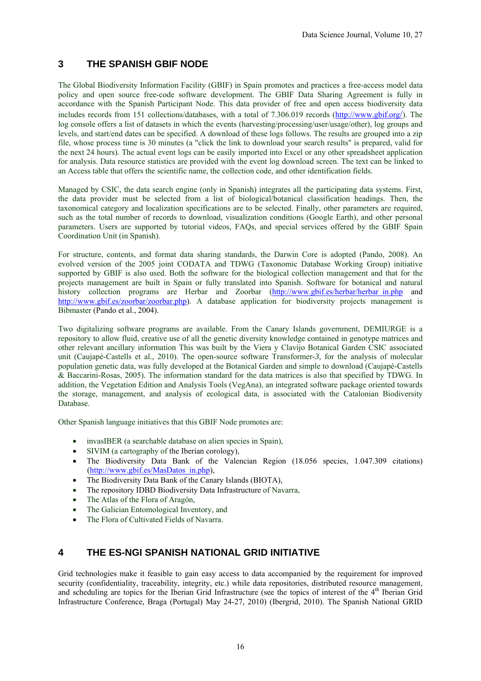## **3 THE SPANISH GBIF NODE**

The Global Biodiversity Information Facility (GBIF) in Spain promotes and practices a free-access model data policy and open source free-code software development. The GBIF Data Sharing Agreement is fully in accordance with the Spanish Participant Node. This data provider of free and open access biodiversity data includes records from 151 collections/databases, with a total of 7.306.019 records (http://www.gbif.org/). The log console offers a list of datasets in which the events (harvesting/processing/user/usage/other), log groups and levels, and start/end dates can be specified. A download of these logs follows. The results are grouped into a zip file, whose process time is 30 minutes (a "click the link to download your search results" is prepared, valid for the next 24 hours). The actual event logs can be easily imported into Excel or any other spreadsheet application for analysis. Data resource statistics are provided with the event log download screen. The text can be linked to an Access table that offers the scientific name, the collection code, and other identification fields.

Managed by CSIC, the data search engine (only in Spanish) integrates all the participating data systems. First, the data provider must be selected from a list of biological/botanical classification headings. Then, the taxonomical category and localization specifications are to be selected. Finally, other parameters are required, such as the total number of records to download, visualization conditions (Google Earth), and other personal parameters. Users are supported by tutorial videos, FAQs, and special services offered by the GBIF Spain Coordination Unit (in Spanish).

For structure, contents, and format data sharing standards, the Darwin Core is adopted (Pando, 2008). An evolved version of the 2005 joint CODATA and TDWG (Taxonomic Database Working Group) initiative supported by GBIF is also used. Both the software for the biological collection management and that for the projects management are built in Spain or fully translated into Spanish. Software for botanical and natural history collection programs are Herbar and Zoorbar (http://www.gbif.es/herbar/herbar\_in.php and http://www.gbif.es/zoorbar/zoorbar.php). A database application for biodiversity projects management is Bibmaster (Pando et al., 2004).

Two digitalizing software programs are available. From the Canary Islands government, DEMIURGE is a repository to allow fluid, creative use of all the genetic diversity knowledge contained in genotype matrices and other relevant ancillary information This was built by the Viera y Clavijo Botanical Garden CSIC associated unit (Caujapé-Castells et al., 2010). The open-source software Transformer*-3*, for the analysis of molecular population genetic data, was fully developed at the Botanical Garden and simple to download (Caujapé-Castells & Baccarini-Rosas, 2005). The information standard for the data matrices is also that specified by TDWG. In addition, the Vegetation Edition and Analysis Tools (VegAna), an integrated software package oriented towards the storage, management, and analysis of ecological data, is associated with the Catalonian Biodiversity Database.

Other Spanish language initiatives that this GBIF Node promotes are:

- invasIBER (a searchable database on alien species in Spain),
- SIVIM (a cartography of the Iberian corology).
- The Biodiversity Data Bank of the Valencian Region (18.056 species, 1.047.309 citations) (http://www.gbif.es/MasDatos\_in.php),
- The Biodiversity Data Bank of the Canary Islands (BIOTA),
- The repository IDBD Biodiversity Data Infrastructure of Navarra,
- The Atlas of the Flora of Aragón,
- The Galician Entomological Inventory, and
- The Flora of Cultivated Fields of Navarra.

# **4 THE ES-NGI SPANISH NATIONAL GRID INITIATIVE**

Grid technologies make it feasible to gain easy access to data accompanied by the requirement for improved security (confidentiality, traceability, integrity, etc.) while data repositories, distributed resource management, and scheduling are topics for the Iberian Grid Infrastructure (see the topics of interest of the 4th Iberian Grid Infrastructure Conference, Braga (Portugal) May 24-27, 2010) (Ibergrid, 2010). The Spanish National GRID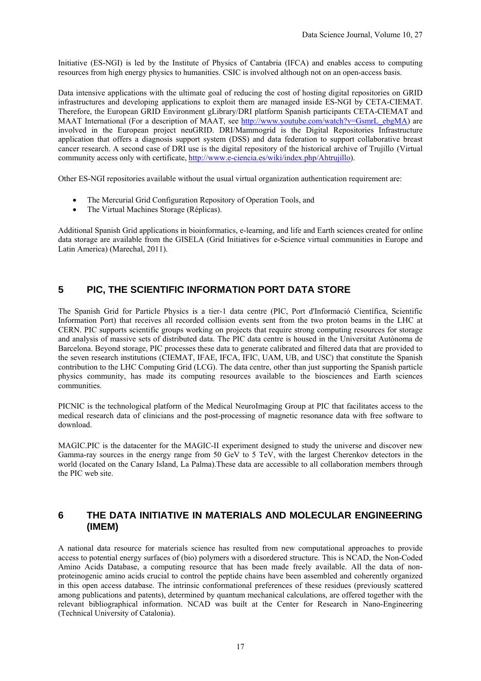Initiative (ES-NGI) is led by the Institute of Physics of Cantabria (IFCA) and enables access to computing resources from high energy physics to humanities. CSIC is involved although not on an open-access basis.

Data intensive applications with the ultimate goal of reducing the cost of hosting digital repositories on GRID infrastructures and developing applications to exploit them are managed inside ES-NGI by CETA-CIEMAT. Therefore, the European GRID Environment gLibrary/DRI platform Spanish participants CETA-CIEMAT and MAAT International (For a description of MAAT, see http://www.youtube.com/watch?v=GsmrL\_ebgMA) are involved in the European project neuGRID. DRI/Mammogrid is the Digital Repositories Infrastructure application that offers a diagnosis support system (DSS) and data federation to support collaborative breast cancer research. A second case of DRI use is the digital repository of the historical archive of Trujillo (Virtual community access only with certificate, http://www.e-ciencia.es/wiki/index.php/Ahtrujillo).

Other ES-NGI repositories available without the usual virtual organization authentication requirement are:

- The Mercurial Grid Configuration Repository of Operation Tools, and
- The Virtual Machines Storage (Réplicas).

Additional Spanish Grid applications in bioinformatics, e-learning, and life and Earth sciences created for online data storage are available from the GISELA (Grid Initiatives for e-Science virtual communities in Europe and Latin America) (Marechal, 2011).

# **5 PIC, THE SCIENTIFIC INFORMATION PORT DATA STORE**

The Spanish Grid for Particle Physics is a tier-1 data centre (PIC, Port d'Informació Científica, Scientific Information Port) that receives all recorded collision events sent from the two proton beams in the LHC at CERN. PIC supports scientific groups working on projects that require strong computing resources for storage and analysis of massive sets of distributed data. The PIC data centre is housed in the Universitat Autònoma de Barcelona. Beyond storage, PIC processes these data to generate calibrated and filtered data that are provided to the seven research institutions (CIEMAT, IFAE, IFCA, IFIC, UAM, UB, and USC) that constitute the Spanish contribution to the LHC Computing Grid (LCG). The data centre, other than just supporting the Spanish particle physics community, has made its computing resources available to the biosciences and Earth sciences communities.

PICNIC is the technological platform of the Medical NeuroImaging Group at PIC that facilitates access to the medical research data of clinicians and the post-processing of magnetic resonance data with free software to download.

MAGIC.PIC is the datacenter for the MAGIC-II experiment designed to study the universe and discover new Gamma-ray sources in the energy range from 50 GeV to 5 TeV, with the largest Cherenkov detectors in the world (located on the Canary Island, La Palma).These data are accessible to all collaboration members through the PIC web site.

#### **6 THE DATA INITIATIVE IN MATERIALS AND MOLECULAR ENGINEERING (IMEM)**

A national data resource for materials science has resulted from new computational approaches to provide access to potential energy surfaces of (bio) polymers with a disordered structure. This is NCAD, the Non-Coded Amino Acids Database, a computing resource that has been made freely available. All the data of nonproteinogenic amino acids crucial to control the peptide chains have been assembled and coherently organized in this open access database. The intrinsic conformational preferences of these residues (previously scattered among publications and patents), determined by quantum mechanical calculations, are offered together with the relevant bibliographical information. NCAD was built at the Center for Research in Nano-Engineering (Technical University of Catalonia).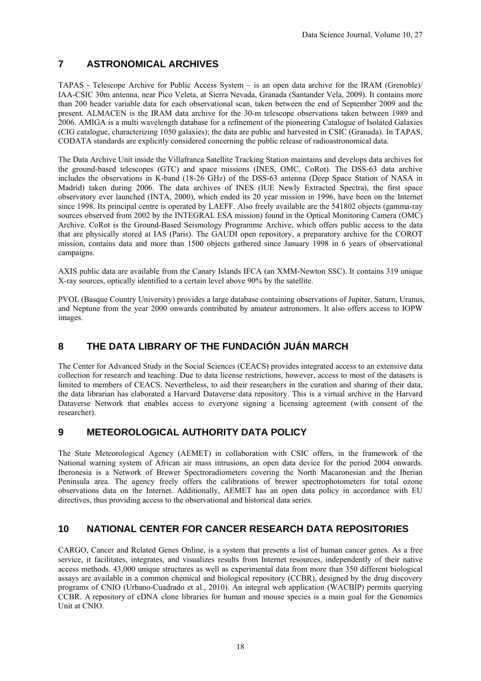# **7 ASTRONOMICAL ARCHIVES**

TAPAS - Telescope Archive for Public Access System – is an open data archive for the IRAM (Grenoble)/ IAA-CSIC 30m antenna, near Pico Veleta, at Sierra Nevada, Granada (Santander Vela, 2009). It contains more than 200 header variable data for each observational scan, taken between the end of September 2009 and the present. ALMACEN is the IRAM data archive for the 30-m telescope observations taken between 1989 and 2006. AMIGA is a multi wavelength database for a refinement of the pioneering Catalogue of Isolated Galaxies (CIG catalogue, characterizing 1050 galaxies); the data are public and harvested in CSIC (Granada). In TAPAS, CODATA standards are explicitly considered concerning the public release of radioastronomical data.

The Data Archive Unit inside the Villafranca Satellite Tracking Station maintains and develops data archives for the ground-based telescopes (GTC) and space missions (INES, OMC, CoRot). The DSS-63 data archive includes the observations in K-band (18-26 GHz) of the DSS-63 antenna (Deep Space Station of NASA in Madrid) taken during 2006. The data archives of INES (IUE Newly Extracted Spectra), the first space observatory ever launched (INTA, 2000), which ended its 20 year mission in 1996, have been on the Internet since 1998. Its principal centre is operated by LAEFF. Also freely available are the 541802 objects (gamma-ray sources observed from 2002 by the INTEGRAL ESA mission) found in the Optical Monitoring Camera (OMC) Archive. CoRot is the Ground-Based Seismology Programme Archive, which offers public access to the data that are physically stored at IAS (Paris). The GAUDI open repository, a preparatory archive for the COROT mission, contains data and more than 1500 objects gathered since January 1998 in 6 years of observational campaigns.

AXIS public data are available from the Canary Islands IFCA (an XMM-Newton SSC). It contains 319 unique X-ray sources, optically identified to a certain level above 90% by the satellite.

PVOL (Basque Country University) provides a large database containing observations of Jupiter, Saturn, Uranus, and Neptune from the year 2000 onwards contributed by amateur astronomers. It also offers access to IOPW images.

# **8 THE DATA LIBRARY OF THE FUNDACIÓN JUÁN MARCH**

The Center for Advanced Study in the Social Sciences (CEACS) provides integrated access to an extensive data collection for research and teaching. Due to data license restrictions, however, access to most of the datasets is limited to members of CEACS. Nevertheless, to aid their researchers in the curation and sharing of their data, the data librarian has elaborated a Harvard Dataverse data repository. This is a virtual archive in the Harvard Dataverse Network that enables access to everyone signing a licensing agreement (with consent of the researcher).

### **9 METEOROLOGICAL AUTHORITY DATA POLICY**

The State Meteorological Agency (AEMET) in collaboration with CSIC offers, in the framework of the National warning system of African air mass intrusions, an open data device for the period 2004 onwards. Iberonesia is a Network of Brewer Spectroradiometers covering the North Macaronesian and the Iberian Peninsula area. The agency freely offers the calibrations of brewer spectrophotometers for total ozone observations data on the Internet. Additionally, AEMET has an open data policy in accordance with EU directives, thus providing access to the observational and historical data series.

## **10 NATIONAL CENTER FOR CANCER RESEARCH DATA REPOSITORIES**

CARGO, Cancer and Related Genes Online, is a system that presents a list of human cancer genes. As a free service, it facilitates, integrates, and visualizes results from Internet resources, independently of their native access methods. 43,000 unique structures as well as experimental data from more than 350 different biological assays are available in a common chemical and biological repository (CCBR), designed by the drug discovery programs of CNIO (Urbano-Cuadrado et al., 2010). An integral web application (WACBIP) permits querying CCBR. A repository of cDNA clone libraries for human and mouse species is a main goal for the Genomics Unit at CNIO.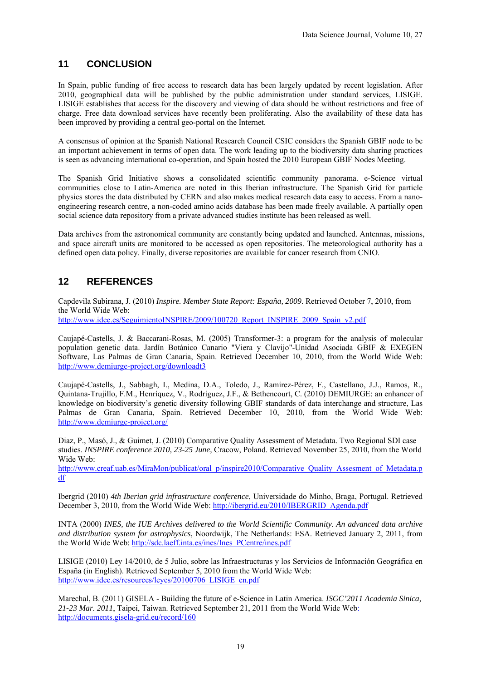## **11 CONCLUSION**

In Spain, public funding of free access to research data has been largely updated by recent legislation. After 2010, geographical data will be published by the public administration under standard services, LISIGE. LISIGE establishes that access for the discovery and viewing of data should be without restrictions and free of charge. Free data download services have recently been proliferating. Also the availability of these data has been improved by providing a central geo-portal on the Internet.

A consensus of opinion at the Spanish National Research Council CSIC considers the Spanish GBIF node to be an important achievement in terms of open data. The work leading up to the biodiversity data sharing practices is seen as advancing international co-operation, and Spain hosted the 2010 European GBIF Nodes Meeting.

The Spanish Grid Initiative shows a consolidated scientific community panorama. e-Science virtual communities close to Latin-America are noted in this Iberian infrastructure. The Spanish Grid for particle physics stores the data distributed by CERN and also makes medical research data easy to access. From a nanoengineering research centre, a non-coded amino acids database has been made freely available. A partially open social science data repository from a private advanced studies institute has been released as well.

Data archives from the astronomical community are constantly being updated and launched. Antennas, missions, and space aircraft units are monitored to be accessed as open repositories. The meteorological authority has a defined open data policy. Finally, diverse repositories are available for cancer research from CNIO.

# **12 REFERENCES**

Capdevila Subirana, J. (2010) *Inspire. Member State Report: España, 2009*. Retrieved October 7, 2010, from the World Wide Web: http://www.idee.es/SeguimientoINSPIRE/2009/100720\_Report\_INSPIRE\_2009\_Spain\_v2.pdf

Caujapé-Castells, J. & Baccarani-Rosas, M. (2005) Transformer-3: a program for the analysis of molecular

population genetic data. Jardín Botánico Canario "Viera y Clavijo"-Unidad Asociada GBIF & EXEGEN Software, Las Palmas de Gran Canaria, Spain. Retrieved December 10, 2010, from the World Wide Web: http://www.demiurge-project.org/downloadt3

Caujapé-Castells, J., Sabbagh, I., Medina, D.A., Toledo, J., Ramírez-Pérez, F., Castellano, J.J., Ramos, R., Quintana-Trujillo, F.M., Henríquez, V., Rodríguez, J.F., & Bethencourt, C. (2010) DEMIURGE: an enhancer of knowledge on biodiversity's genetic diversity following GBIF standards of data interchange and structure, Las Palmas de Gran Canaria, Spain. Retrieved December 10, 2010, from the World Wide Web: http://www.demiurge-project.org/

Diaz, P., Masó, J., & Guimet, J. (2010) Comparative Quality Assessment of Metadata. Two Regional SDI case studies. *INSPIRE conference 2010, 23-25 June,* Cracow, Poland. Retrieved November 25, 2010, from the World Wide Web:

http://www.creaf.uab.es/MiraMon/publicat/oral\_p/inspire2010/Comparative\_Quality\_Assesment\_of\_Metadata.p df

Ibergrid (2010) *4th Iberian grid infrastructure conference*, Universidade do Minho, Braga, Portugal. Retrieved December 3, 2010, from the World Wide Web: http://ibergrid.eu/2010/IBERGRID\_Agenda.pdf

INTA (2000) *INES, the IUE Archives delivered to the World Scientific Community. An advanced data archive and distribution system for astrophysics*, Noordwijk, The Netherlands: ESA. Retrieved January 2, 2011, from the World Wide Web: http://sdc.laeff.inta.es/ines/Ines\_PCentre/ines.pdf

LISIGE (2010) Ley 14/2010, de 5 Julio, sobre las Infraestructuras y los Servicios de Información Geográfica en España (in English). Retrieved September 5, 2010 from the World Wide Web: http://www.idee.es/resources/leyes/20100706\_LISIGE\_en.pdf

Marechal, B. (2011) GISELA - Building the future of e-Science in Latin America. *ISGC'2011 Academia Sinica, 21-23 Mar. 2011*, Taipei, Taiwan. Retrieved September 21, 2011 from the World Wide Web: http://documents.gisela-grid.eu/record/160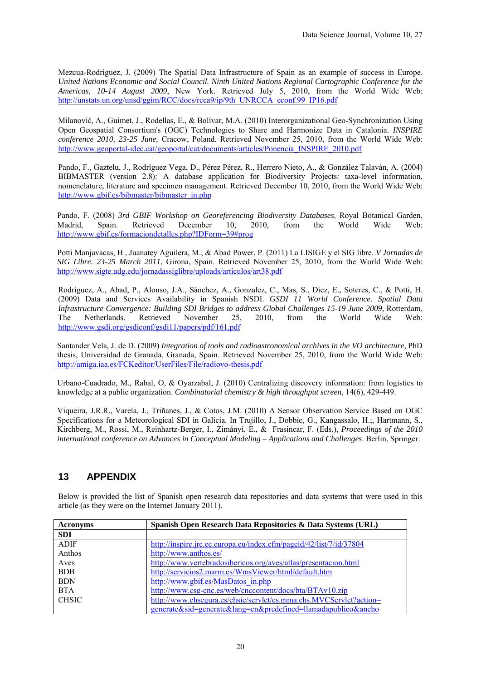Mezcua-Rodriguez, J. (2009) The Spatial Data Infrastructure of Spain as an example of success in Europe. *United Nations Economic and Social Council. Ninth United Nations Regional Cartographic Conference for the Americas, 10-14 August 2009*, New York. Retrieved July 5, 2010, from the World Wide Web: http://unstats.un.org/unsd/ggim/RCC/docs/rcca9/ip/9th\_UNRCCA\_econf.99\_IP16.pdf

Milanović, A., Guimet, J., Rodellas, E., & Bolívar, M.A. (2010) Interorganizational Geo-Synchronization Using Open Geospatial Consortium's (OGC) Technologies to Share and Harmonize Data in Catalonia. *INSPIRE conference 2010, 23-25 June,* Cracow, Poland*.* Retrieved November 25, 2010, from the World Wide Web: http://www.geoportal-idec.cat/geoportal/cat/documents/articles/Ponencia\_INSPIRE\_2010.pdf

Pando, F., Gaztelu, J., Rodríguez Vega, D., Pérez Pérez, R., Herrero Nieto, A., & González Talaván, A. (2004) BIBMASTER (version 2.8): A database application for Biodiversity Projects: taxa-level information, nomenclature, literature and specimen management. Retrieved December 10, 2010, from the World Wide Web: http://www.gbif.es/bibmaster/bibmaster\_in.php

Pando, F. (2008) *3rd GBIF Workshop on Georeferencing Biodiversity Databases,* Royal Botanical Garden, Madrid, Spain. Retrieved December 10, 2010, from the World Wide Web: http://www.gbif.es/formaciondetalles.php?IDForm=39#prog

Potti Manjavacas, H., Juanatey Aguilera, M., & Abad Power, P. (2011) La LISIGE y el SIG libre. *V Jornadas de SIG Libre. 23-25 March 2011*, Girona, Spain. Retrieved November 25, 2010, from the World Wide Web: http://www.sigte.udg.edu/jornadassiglibre/uploads/articulos/art38.pdf

Rodriguez, A., Abad, P., Alonso, J.A., Sánchez, A., Gonzalez, C., Mas, S., Diez, E., Soteres, C., & Potti, H. (2009) Data and Services Availability in Spanish NSDI. *GSDI 11 World Conference. Spatial Data Infrastructure Convergence: Building SDI Bridges to address Global Challenges 15-19 June 2009*, Rotterdam, The Netherlands. Retrieved November 25, 2010, from the World Wide Web: http://www.gsdi.org/gsdiconf/gsdi11/papers/pdf/161.pdf

Santander Vela, J. de D. (2009) *Integration of tools and radioastronomical archives in the VO architecture*, PhD thesis, Universidad de Granada, Granada, Spain. Retrieved November 25, 2010, from the World Wide Web: http://amiga.iaa.es/FCKeditor/UserFiles/File/radiovo-thesis.pdf

Urbano-Cuadrado, M., Rabal, O, & Oyarzabal, J. (2010) Centralizing discovery information: from logistics to knowledge at a public organization. *Combinatorial chemistry & high throughput screen*, 14(6), 429-449.

Viqueira, J.R.R., Varela, J., Triñanes, J., & Cotos, J.M. (2010) A Sensor Observation Service Based on OGC Specifications for a Meteorological SDI in Galicia. In Trujillo, J., Dobbie, G., Kangassalo, H.;, Hartmann, S., Kirchberg, M., Rossi, M., Reinhartz-Berger, I., Zimányi, E., & Frasincar, F. (Eds.), *Proceedings of the 2010 international conference on Advances in Conceptual Modeling – Applications and Challenges*. Berlin, Springer.

# **13 APPENDIX**

Below is provided the list of Spanish open research data repositories and data systems that were used in this article (as they were on the Internet January 2011).

| <b>Acronyms</b> | Spanish Open Research Data Repositories & Data Systems (URL)        |
|-----------------|---------------------------------------------------------------------|
| <b>SDI</b>      |                                                                     |
| <b>ADIF</b>     | http://inspire.jrc.ec.europa.eu/index.cfm/pageid/42/list/7/id/37804 |
| Anthos          | http://www.anthos.es/                                               |
| Aves            | http://www.vertebradosibericos.org/aves/atlas/presentacion.html     |
| <b>BDB</b>      | http://servicios2.marm.es/WmsViewer/html/default.htm                |
| <b>BDN</b>      | http://www.gbif.es/MasDatos in.php                                  |
| <b>BTA</b>      | http://www.csg-cnc.es/web/cnccontent/docs/bta/BTAv10.zip            |
| <b>CHSIC</b>    | http://www.chsegura.es/chsic/servlet/es.mma.chs.MVCServlet?action=  |
|                 | generate&sid=generate⟨=en&predefined=llamadapublico&ancho           |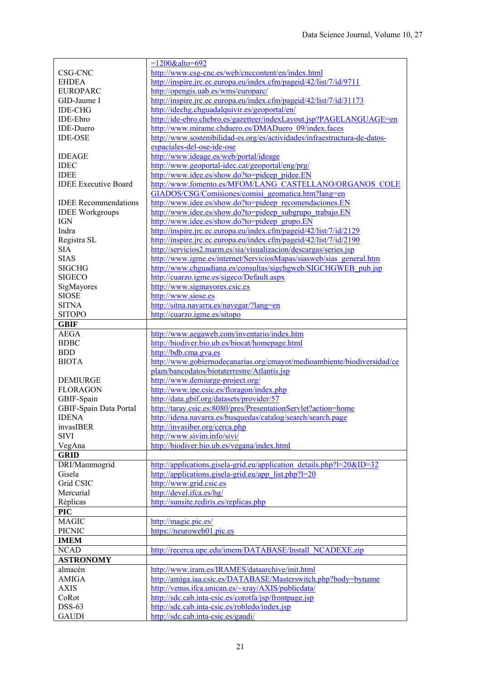|                               | $=1200$ &alto=692                                                                   |
|-------------------------------|-------------------------------------------------------------------------------------|
| CSG-CNC                       | http://www.csg-cnc.es/web/cnccontent/en/index.html                                  |
| <b>EHDEA</b>                  | http://inspire.jrc.ec.europa.eu/index.cfm/pageid/42/list/7/id/9711                  |
| <b>EUROPARC</b>               | http://opengis.uab.es/wms/europarc/                                                 |
| GID-Jaume I                   | http://inspire.jrc.ec.europa.eu/index.cfm/pageid/42/list/7/id/31173                 |
| <b>IDE-CHG</b>                | http://idechg.chguadalquivir.es/geoportal/en/                                       |
| IDE-Ebro                      | http://ide-ebro.chebro.es/gazetteer/indexLayout.jsp?PAGELANGUAGE=en                 |
| <b>IDE-Duero</b>              | http://www.mirame.chduero.es/DMADuero_09/index.faces                                |
| <b>IDE-OSE</b>                | http://www.sostenibilidad-es.org/es/actividades/infraestructura-de-datos-           |
|                               | espaciales-del-ose-ide-ose                                                          |
| <b>IDEAGE</b>                 | http://www.ideage.es/web/portal/ideage                                              |
| <b>IDEC</b>                   | http://www.geoportal-idec.cat/geoportal/eng/prg/                                    |
| <b>IDEE</b>                   | http://www.idee.es/show.do?to=pideep_pidee.EN                                       |
| <b>IDEE</b> Executive Board   | http://www.fomento.es/MFOM/LANG_CASTELLANO/ORGANOS_COLE                             |
|                               | GIADOS/CSG/Comisiones/comisi geomatica.htm?lang=en                                  |
| <b>IDEE</b> Recommendations   | http://www.idee.es/show.do?to=pideep_recomendaciones.EN                             |
| <b>IDEE Workgroups</b>        | http://www.idee.es/show.do?to=pideep_subgrupo_trabajo.EN                            |
| <b>IGN</b>                    | http://www.idee.es/show.do?to=pideep_grupo.EN                                       |
| Indra                         | http://inspire.jrc.ec.europa.eu/index.cfm/pageid/42/list/7/id/2129                  |
|                               | http://inspire.jrc.ec.europa.eu/index.cfm/pageid/42/list/7/id/2190                  |
| Registra SL                   |                                                                                     |
| <b>SIA</b>                    | http://servicios2.marm.es/sia/visualizacion/descargas/series.jsp                    |
| <b>SIAS</b>                   | http://www.igme.es/internet/ServiciosMapas/siasweb/sias_general.htm                 |
| <b>SIGCHG</b>                 | http://www.chguadiana.es/consultas/sigchgweb/SIGCHGWEB pub.jsp                      |
| <b>SIGECO</b>                 | http://cuarzo.igme.es/sigeco/Default.aspx                                           |
| SigMayores                    | http://www.sigmayores.csic.es                                                       |
| <b>SIOSE</b>                  | http://www.siose.es                                                                 |
| <b>SITNA</b>                  | http://sitna.navarra.es/navegar/?lang=en                                            |
| <b>SITOPO</b>                 | http://cuarzo.igme.es/sitopo                                                        |
| <b>GBIF</b>                   |                                                                                     |
| <b>AEGA</b>                   | http://www.aegaweb.com/inventario/index.htm                                         |
|                               |                                                                                     |
|                               |                                                                                     |
| <b>BDBC</b><br><b>BDD</b>     | http://biodiver.bio.ub.es/biocat/homepage.html                                      |
|                               | http://bdb.cma.gva.es                                                               |
| <b>BIOTA</b>                  | http://www.gobiernodecanarias.org/cmayot/medioambiente/biodiversidad/ce             |
|                               | plam/bancodatos/biotaterrestre/Atlantis.jsp                                         |
| <b>DEMIURGE</b>               | http://www.demiurge-project.org/                                                    |
| <b>FLORAGON</b>               | http://www.ipe.csic.es/floragon/index.php                                           |
| GBIF-Spain                    | http://data.gbif.org/datasets/provider/57                                           |
| GBIF-Spain Data Portal        | http://taray.csic.es:8080/pres/PresentationServlet?action=home                      |
| <b>IDENA</b>                  | http://idena.navarra.es/busquedas/catalog/search/search.page                        |
| invasIBER                     | http://invasiber.org/cerca.php                                                      |
| <b>SIVI</b>                   | http://www.sivim.info/sivi/                                                         |
| VegAna                        | http://biodiver.bio.ub.es/vegana/index.html                                         |
| <b>GRID</b>                   |                                                                                     |
| DRI/Mammogrid                 | http://applications.gisela-grid.eu/application details.php?l=20&ID=32               |
| Gisela                        | http://applications.gisela-grid.eu/app_list.php?l=20                                |
| Grid CSIC                     | http://www.grid.csic.es                                                             |
| Mercurial                     | http://devel.ifca.es/hg/                                                            |
| Réplicas                      | http://sunsite.rediris.es/replicas.php                                              |
|                               |                                                                                     |
| <b>PIC</b><br><b>MAGIC</b>    |                                                                                     |
|                               | http://magic.pic.es/                                                                |
| <b>PICNIC</b>                 | https://neuroweb01.pic.es                                                           |
| <b>IMEM</b>                   |                                                                                     |
| <b>NCAD</b>                   | http://recerca.upc.edu/imem/DATABASE/Install NCADEXE.zip                            |
| <b>ASTRONOMY</b>              |                                                                                     |
| almacén                       | http://www.iram.es/IRAMES/dataarchive/init.html                                     |
| <b>AMIGA</b>                  | http://amiga.iaa.csic.es/DATABASE/Masterswitch.php?body=byname                      |
| <b>AXIS</b>                   | http://venus.ifca.unican.es/~xray/AXIS/publicdata/                                  |
| CoRot                         | http://sdc.cab.inta-csic.es/corotfa/jsp/frontpage.jsp                               |
| <b>DSS-63</b><br><b>GAUDI</b> | http://sdc.cab.inta-csic.es/robledo/index.jsp<br>http://sdc.cab.inta-csic.es/gaudi/ |